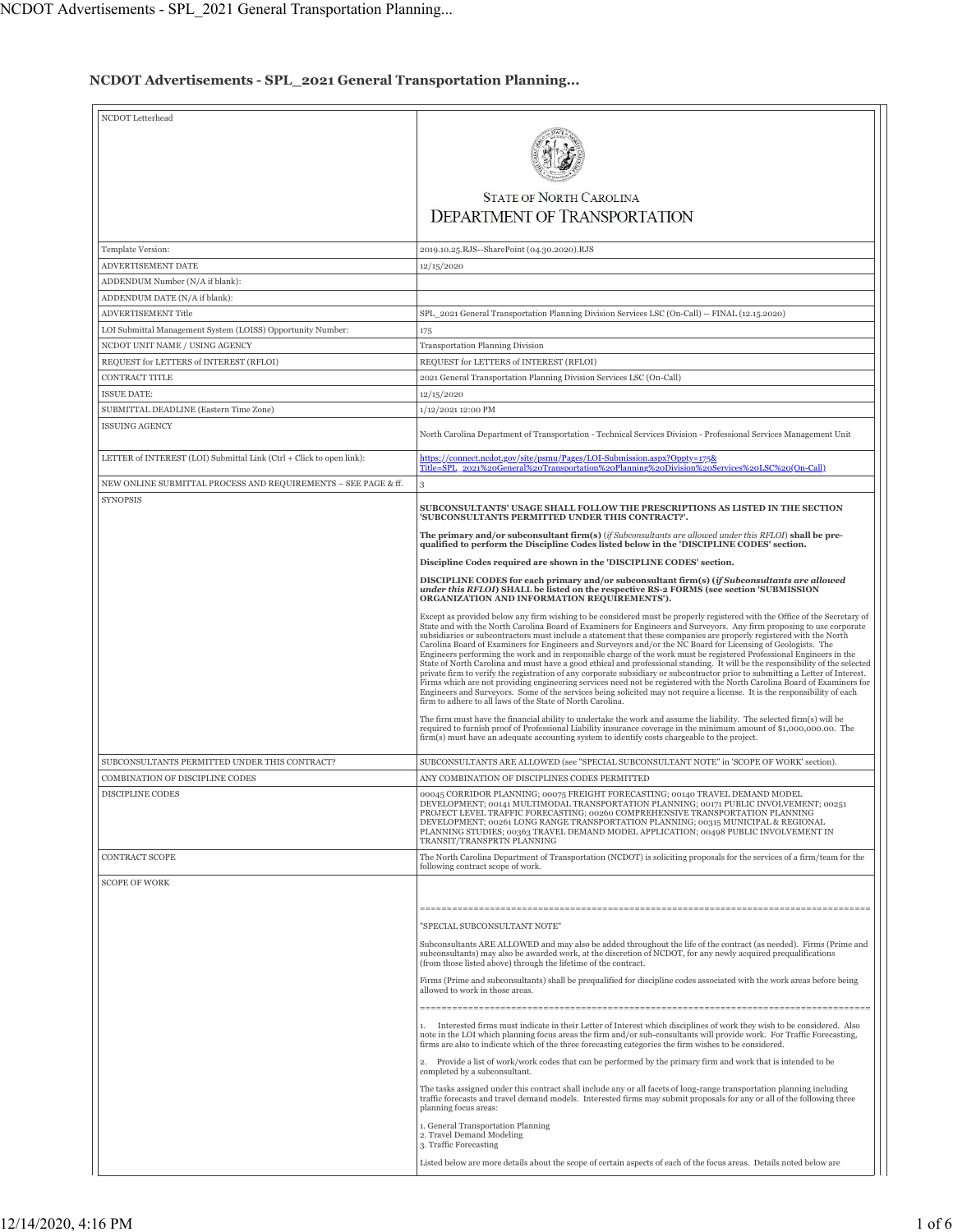## **NCDOT Advertisements - SPL\_2021 General Transportation Planning...**

| NCDOT Letterhead                                                     |                                                                                                                                                                                                                                                                                                                                                                                                                                                                                                                                                                                                                                                                                                                                                                                                                                                                                                                                                                                                                                                                                                                                                                                                                                                                                                                                                                                                                                                                                                                                                              |
|----------------------------------------------------------------------|--------------------------------------------------------------------------------------------------------------------------------------------------------------------------------------------------------------------------------------------------------------------------------------------------------------------------------------------------------------------------------------------------------------------------------------------------------------------------------------------------------------------------------------------------------------------------------------------------------------------------------------------------------------------------------------------------------------------------------------------------------------------------------------------------------------------------------------------------------------------------------------------------------------------------------------------------------------------------------------------------------------------------------------------------------------------------------------------------------------------------------------------------------------------------------------------------------------------------------------------------------------------------------------------------------------------------------------------------------------------------------------------------------------------------------------------------------------------------------------------------------------------------------------------------------------|
|                                                                      | <b>STATE OF NORTH CAROLINA</b>                                                                                                                                                                                                                                                                                                                                                                                                                                                                                                                                                                                                                                                                                                                                                                                                                                                                                                                                                                                                                                                                                                                                                                                                                                                                                                                                                                                                                                                                                                                               |
|                                                                      | <b>DEPARTMENT OF TRANSPORTATION</b>                                                                                                                                                                                                                                                                                                                                                                                                                                                                                                                                                                                                                                                                                                                                                                                                                                                                                                                                                                                                                                                                                                                                                                                                                                                                                                                                                                                                                                                                                                                          |
| Template Version:                                                    | 2019.10.25.RJS--SharePoint (04.30.2020).RJS                                                                                                                                                                                                                                                                                                                                                                                                                                                                                                                                                                                                                                                                                                                                                                                                                                                                                                                                                                                                                                                                                                                                                                                                                                                                                                                                                                                                                                                                                                                  |
| ADVERTISEMENT DATE                                                   | 12/15/2020                                                                                                                                                                                                                                                                                                                                                                                                                                                                                                                                                                                                                                                                                                                                                                                                                                                                                                                                                                                                                                                                                                                                                                                                                                                                                                                                                                                                                                                                                                                                                   |
| ADDENDUM Number (N/A if blank):                                      |                                                                                                                                                                                                                                                                                                                                                                                                                                                                                                                                                                                                                                                                                                                                                                                                                                                                                                                                                                                                                                                                                                                                                                                                                                                                                                                                                                                                                                                                                                                                                              |
| ADDENDUM DATE (N/A if blank):                                        |                                                                                                                                                                                                                                                                                                                                                                                                                                                                                                                                                                                                                                                                                                                                                                                                                                                                                                                                                                                                                                                                                                                                                                                                                                                                                                                                                                                                                                                                                                                                                              |
| <b>ADVERTISEMENT Title</b>                                           | SPL 2021 General Transportation Planning Division Services LSC (On-Call) -- FINAL (12.15.2020)                                                                                                                                                                                                                                                                                                                                                                                                                                                                                                                                                                                                                                                                                                                                                                                                                                                                                                                                                                                                                                                                                                                                                                                                                                                                                                                                                                                                                                                               |
|                                                                      |                                                                                                                                                                                                                                                                                                                                                                                                                                                                                                                                                                                                                                                                                                                                                                                                                                                                                                                                                                                                                                                                                                                                                                                                                                                                                                                                                                                                                                                                                                                                                              |
| LOI Submittal Management System (LOISS) Opportunity Number:          | 175                                                                                                                                                                                                                                                                                                                                                                                                                                                                                                                                                                                                                                                                                                                                                                                                                                                                                                                                                                                                                                                                                                                                                                                                                                                                                                                                                                                                                                                                                                                                                          |
| NCDOT UNIT NAME / USING AGENCY                                       | Transportation Planning Division                                                                                                                                                                                                                                                                                                                                                                                                                                                                                                                                                                                                                                                                                                                                                                                                                                                                                                                                                                                                                                                                                                                                                                                                                                                                                                                                                                                                                                                                                                                             |
| REQUEST for LETTERS of INTEREST (RFLOI)                              | REQUEST for LETTERS of INTEREST (RFLOI)                                                                                                                                                                                                                                                                                                                                                                                                                                                                                                                                                                                                                                                                                                                                                                                                                                                                                                                                                                                                                                                                                                                                                                                                                                                                                                                                                                                                                                                                                                                      |
| CONTRACT TITLE                                                       | 2021 General Transportation Planning Division Services LSC (On-Call)                                                                                                                                                                                                                                                                                                                                                                                                                                                                                                                                                                                                                                                                                                                                                                                                                                                                                                                                                                                                                                                                                                                                                                                                                                                                                                                                                                                                                                                                                         |
| <b>ISSUE DATE:</b>                                                   | 12/15/2020                                                                                                                                                                                                                                                                                                                                                                                                                                                                                                                                                                                                                                                                                                                                                                                                                                                                                                                                                                                                                                                                                                                                                                                                                                                                                                                                                                                                                                                                                                                                                   |
| SUBMITTAL DEADLINE (Eastern Time Zone)                               | 1/12/2021 12:00 PM                                                                                                                                                                                                                                                                                                                                                                                                                                                                                                                                                                                                                                                                                                                                                                                                                                                                                                                                                                                                                                                                                                                                                                                                                                                                                                                                                                                                                                                                                                                                           |
| <b>ISSUING AGENCY</b>                                                | North Carolina Department of Transportation - Technical Services Division - Professional Services Management Unit                                                                                                                                                                                                                                                                                                                                                                                                                                                                                                                                                                                                                                                                                                                                                                                                                                                                                                                                                                                                                                                                                                                                                                                                                                                                                                                                                                                                                                            |
| LETTER of INTEREST (LOI) Submittal Link (Ctrl + Click to open link): | https://connect.ncdot.gov/site/psmu/Pages/LOI-Submission.aspx?Oppty=175&<br>Title=SPL_2021%20General%20Transportation%20Planning%20Division%20Services%20LSC%20(On-Call)                                                                                                                                                                                                                                                                                                                                                                                                                                                                                                                                                                                                                                                                                                                                                                                                                                                                                                                                                                                                                                                                                                                                                                                                                                                                                                                                                                                     |
| NEW ONLINE SUBMITTAL PROCESS AND REQUIREMENTS – SEE PAGE & ff.       | 3                                                                                                                                                                                                                                                                                                                                                                                                                                                                                                                                                                                                                                                                                                                                                                                                                                                                                                                                                                                                                                                                                                                                                                                                                                                                                                                                                                                                                                                                                                                                                            |
| <b>SYNOPSIS</b>                                                      | SUBCONSULTANTS' USAGE SHALL FOLLOW THE PRESCRIPTIONS AS LISTED IN THE SECTION<br>'SUBCONSULTANTS PERMITTED UNDER THIS CONTRACT?'.                                                                                                                                                                                                                                                                                                                                                                                                                                                                                                                                                                                                                                                                                                                                                                                                                                                                                                                                                                                                                                                                                                                                                                                                                                                                                                                                                                                                                            |
|                                                                      | The primary and/or subconsultant firm(s) (if Subconsultants are allowed under this RFLOI) shall be pre-<br>qualified to perform the Discipline Codes listed below in the 'DISCIPLINE CODES' section.                                                                                                                                                                                                                                                                                                                                                                                                                                                                                                                                                                                                                                                                                                                                                                                                                                                                                                                                                                                                                                                                                                                                                                                                                                                                                                                                                         |
|                                                                      | Discipline Codes required are shown in the 'DISCIPLINE CODES' section.                                                                                                                                                                                                                                                                                                                                                                                                                                                                                                                                                                                                                                                                                                                                                                                                                                                                                                                                                                                                                                                                                                                                                                                                                                                                                                                                                                                                                                                                                       |
|                                                                      | DISCIPLINE CODES for each primary and/or subconsultant firm(s) (if Subconsultants are allowed<br>under this RFLOI) SHALL be listed on the respective RS-2 FORMS (see section 'SUBMISSION<br>ORGANIZATION AND INFORMATION REQUIREMENTS').                                                                                                                                                                                                                                                                                                                                                                                                                                                                                                                                                                                                                                                                                                                                                                                                                                                                                                                                                                                                                                                                                                                                                                                                                                                                                                                     |
|                                                                      | Except as provided below any firm wishing to be considered must be properly registered with the Office of the Secretary of<br>State and with the North Carolina Board of Examiners for Engineers and Surveyors. Any firm proposing to use corporate<br>subsidiaries or subcontractors must include a statement that these companies are properly registered with the North<br>Carolina Board of Examiners for Engineers and Surveyors and/or the NC Board for Licensing of Geologists. The<br>Engineers performing the work and in responsible charge of the work must be registered Professional Engineers in the<br>State of North Carolina and must have a good ethical and professional standing. It will be the responsibility of the selected<br>private firm to verify the registration of any corporate subsidiary or subcontractor prior to submitting a Letter of Interest.<br>Firms which are not providing engineering services need not be registered with the North Carolina Board of Examiners for<br>Engineers and Surveyors. Some of the services being solicited may not require a license. It is the responsibility of each<br>firm to adhere to all laws of the State of North Carolina.<br>The firm must have the financial ability to undertake the work and assume the liability. The selected firm(s) will be<br>required to furnish proof of Professional Liability insurance coverage in the minimum amount of \$1,000,000.00. The<br>firm(s) must have an adequate accounting system to identify costs chargeable to the project. |
| SUBCONSULTANTS PERMITTED UNDER THIS CONTRACT?                        | SUBCONSULTANTS ARE ALLOWED (see "SPECIAL SUBCONSULTANT NOTE" in 'SCOPE OF WORK' section).                                                                                                                                                                                                                                                                                                                                                                                                                                                                                                                                                                                                                                                                                                                                                                                                                                                                                                                                                                                                                                                                                                                                                                                                                                                                                                                                                                                                                                                                    |
| COMBINATION OF DISCIPLINE CODES                                      | ANY COMBINATION OF DISCIPLINES CODES PERMITTED                                                                                                                                                                                                                                                                                                                                                                                                                                                                                                                                                                                                                                                                                                                                                                                                                                                                                                                                                                                                                                                                                                                                                                                                                                                                                                                                                                                                                                                                                                               |
| <b>DISCIPLINE CODES</b>                                              | 00045 CORRIDOR PLANNING; 00075 FREIGHT FORECASTING; 00140 TRAVEL DEMAND MODEL<br>DEVELOPMENT; 00141 MULTIMODAL TRANSPORTATION PLANNING; 00171 PUBLIC INVOLVEMENT; 00251<br>PROJECT LEVEL TRAFFIC FORECASTING; 00260 COMPREHENSIVE TRANSPORTATION PLANNING<br>DEVELOPMENT; 00261 LONG RANGE TRANSPORTATION PLANNING; 00315 MUNICIPAL & REGIONAL<br>PLANNING STUDIES; 00363 TRAVEL DEMAND MODEL APPLICATION; 00498 PUBLIC INVOLVEMENT IN<br>TRANSIT/TRANSPRTN PLANNING                                                                                                                                                                                                                                                                                                                                                                                                                                                                                                                                                                                                                                                                                                                                                                                                                                                                                                                                                                                                                                                                                         |
| <b>CONTRACT SCOPE</b>                                                | The North Carolina Department of Transportation (NCDOT) is soliciting proposals for the services of a firm/team for the<br>following contract scope of work.                                                                                                                                                                                                                                                                                                                                                                                                                                                                                                                                                                                                                                                                                                                                                                                                                                                                                                                                                                                                                                                                                                                                                                                                                                                                                                                                                                                                 |
| <b>SCOPE OF WORK</b>                                                 |                                                                                                                                                                                                                                                                                                                                                                                                                                                                                                                                                                                                                                                                                                                                                                                                                                                                                                                                                                                                                                                                                                                                                                                                                                                                                                                                                                                                                                                                                                                                                              |
|                                                                      |                                                                                                                                                                                                                                                                                                                                                                                                                                                                                                                                                                                                                                                                                                                                                                                                                                                                                                                                                                                                                                                                                                                                                                                                                                                                                                                                                                                                                                                                                                                                                              |
|                                                                      |                                                                                                                                                                                                                                                                                                                                                                                                                                                                                                                                                                                                                                                                                                                                                                                                                                                                                                                                                                                                                                                                                                                                                                                                                                                                                                                                                                                                                                                                                                                                                              |
|                                                                      | "SPECIAL SUBCONSULTANT NOTE"                                                                                                                                                                                                                                                                                                                                                                                                                                                                                                                                                                                                                                                                                                                                                                                                                                                                                                                                                                                                                                                                                                                                                                                                                                                                                                                                                                                                                                                                                                                                 |
|                                                                      | Subconsultants ARE ALLOWED and may also be added throughout the life of the contract (as needed). Firms (Prime and<br>subconsultants) may also be awarded work, at the discretion of NCDOT, for any newly acquired prequalifications<br>(from those listed above) through the lifetime of the contract.                                                                                                                                                                                                                                                                                                                                                                                                                                                                                                                                                                                                                                                                                                                                                                                                                                                                                                                                                                                                                                                                                                                                                                                                                                                      |
|                                                                      | Firms (Prime and subconsultants) shall be prequalified for discipline codes associated with the work areas before being<br>allowed to work in those areas.                                                                                                                                                                                                                                                                                                                                                                                                                                                                                                                                                                                                                                                                                                                                                                                                                                                                                                                                                                                                                                                                                                                                                                                                                                                                                                                                                                                                   |
|                                                                      | 1. Interested firms must indicate in their Letter of Interest which disciplines of work they wish to be considered. Also<br>note in the LOI which planning focus areas the firm and/or sub-consultants will provide work. For Traffic Forecasting,<br>firms are also to indicate which of the three forecasting categories the firm wishes to be considered.                                                                                                                                                                                                                                                                                                                                                                                                                                                                                                                                                                                                                                                                                                                                                                                                                                                                                                                                                                                                                                                                                                                                                                                                 |
|                                                                      | 2. Provide a list of work/work codes that can be performed by the primary firm and work that is intended to be<br>completed by a subconsultant.                                                                                                                                                                                                                                                                                                                                                                                                                                                                                                                                                                                                                                                                                                                                                                                                                                                                                                                                                                                                                                                                                                                                                                                                                                                                                                                                                                                                              |
|                                                                      | The tasks assigned under this contract shall include any or all facets of long-range transportation planning including<br>traffic forecasts and travel demand models. Interested firms may submit proposals for any or all of the following three<br>planning focus areas:                                                                                                                                                                                                                                                                                                                                                                                                                                                                                                                                                                                                                                                                                                                                                                                                                                                                                                                                                                                                                                                                                                                                                                                                                                                                                   |
|                                                                      | 1. General Transportation Planning<br>2. Travel Demand Modeling<br>3. Traffic Forecasting                                                                                                                                                                                                                                                                                                                                                                                                                                                                                                                                                                                                                                                                                                                                                                                                                                                                                                                                                                                                                                                                                                                                                                                                                                                                                                                                                                                                                                                                    |
|                                                                      | Listed below are more details about the scope of certain aspects of each of the focus areas. Details noted below are                                                                                                                                                                                                                                                                                                                                                                                                                                                                                                                                                                                                                                                                                                                                                                                                                                                                                                                                                                                                                                                                                                                                                                                                                                                                                                                                                                                                                                         |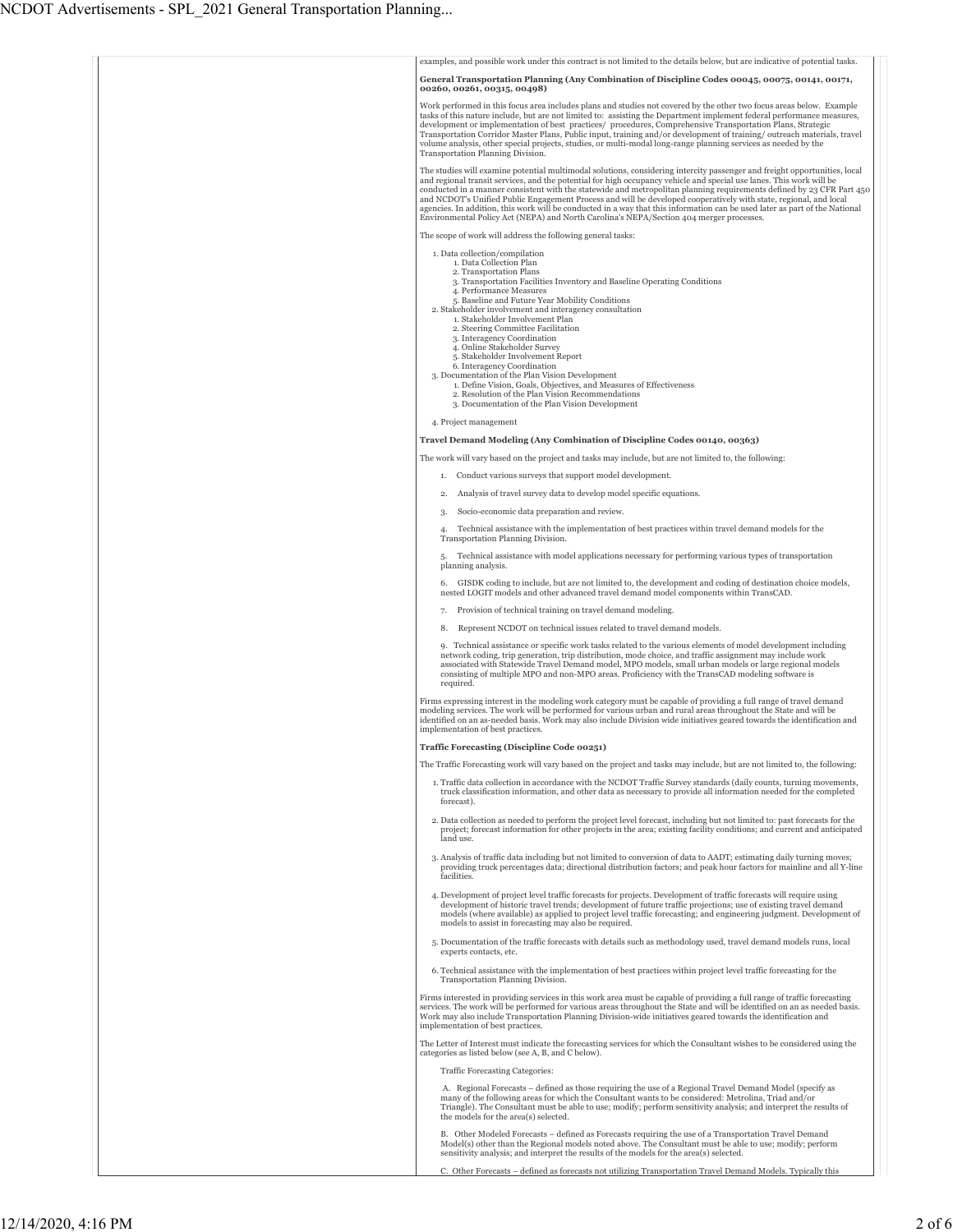| examples, and possible work under this contract is not limited to the details below, but are indicative of potential tasks.                                                                                                                                                                                                                                                                                                                                                                                                                                                                                                                                                                                                                           |
|-------------------------------------------------------------------------------------------------------------------------------------------------------------------------------------------------------------------------------------------------------------------------------------------------------------------------------------------------------------------------------------------------------------------------------------------------------------------------------------------------------------------------------------------------------------------------------------------------------------------------------------------------------------------------------------------------------------------------------------------------------|
| General Transportation Planning (Any Combination of Discipline Codes 00045, 00075, 00141, 00171,<br>00260, 00261, 00315, 00498)                                                                                                                                                                                                                                                                                                                                                                                                                                                                                                                                                                                                                       |
| Work performed in this focus area includes plans and studies not covered by the other two focus areas below. Example<br>tasks of this nature include, but are not limited to: assisting the Department implement federal performance measures,<br>development or implementation of best practices/ procedures, Comprehensive Transportation Plans, Strategic<br>Transportation Corridor Master Plans, Public input, training and/or development of training/outreach materials, travel<br>volume analysis, other special projects, studies, or multi-modal long-range planning services as needed by the<br>Transportation Planning Division.                                                                                                         |
| The studies will examine potential multimodal solutions, considering intercity passenger and freight opportunities, local<br>and regional transit services, and the potential for high occupancy vehicle and special use lanes. This work will be<br>conducted in a manner consistent with the statewide and metropolitan planning requirements defined by 23 CFR Part 450<br>and NCDOT's Unified Public Engagement Process and will be developed cooperatively with state, regional, and local<br>agencies. In addition, this work will be conducted in a way that this information can be used later as part of the National<br>Environmental Policy Act (NEPA) and North Carolina's NEPA/Section 404 merger processes.                             |
| The scope of work will address the following general tasks:                                                                                                                                                                                                                                                                                                                                                                                                                                                                                                                                                                                                                                                                                           |
| 1. Data collection/compilation<br>1. Data Collection Plan<br>2. Transportation Plans<br>3. Transportation Facilities Inventory and Baseline Operating Conditions<br>4. Performance Measures<br>5. Baseline and Future Year Mobility Conditions<br>2. Stakeholder involvement and interagency consultation<br>1. Stakeholder Involvement Plan<br>2. Steering Committee Facilitation<br>3. Interagency Coordination<br>4. Online Stakeholder Survey<br>5. Stakeholder Involvement Report<br>6. Interagency Coordination<br>3. Documentation of the Plan Vision Development<br>1. Define Vision, Goals, Objectives, and Measures of Effectiveness<br>2. Resolution of the Plan Vision Recommendations<br>3. Documentation of the Plan Vision Development |
| 4. Project management                                                                                                                                                                                                                                                                                                                                                                                                                                                                                                                                                                                                                                                                                                                                 |
| Travel Demand Modeling (Any Combination of Discipline Codes 00140, 00363)                                                                                                                                                                                                                                                                                                                                                                                                                                                                                                                                                                                                                                                                             |
| The work will vary based on the project and tasks may include, but are not limited to, the following:                                                                                                                                                                                                                                                                                                                                                                                                                                                                                                                                                                                                                                                 |
| 1. Conduct various surveys that support model development.                                                                                                                                                                                                                                                                                                                                                                                                                                                                                                                                                                                                                                                                                            |
| Analysis of travel survey data to develop model specific equations.<br>2.<br>Socio-economic data preparation and review.                                                                                                                                                                                                                                                                                                                                                                                                                                                                                                                                                                                                                              |
| 3.<br>Technical assistance with the implementation of best practices within travel demand models for the<br>$\mathbf{4}$                                                                                                                                                                                                                                                                                                                                                                                                                                                                                                                                                                                                                              |
| Transportation Planning Division.                                                                                                                                                                                                                                                                                                                                                                                                                                                                                                                                                                                                                                                                                                                     |
| Technical assistance with model applications necessary for performing various types of transportation<br>planning analysis.                                                                                                                                                                                                                                                                                                                                                                                                                                                                                                                                                                                                                           |
| GISDK coding to include, but are not limited to, the development and coding of destination choice models,<br>6.<br>nested LOGIT models and other advanced travel demand model components within TransCAD.                                                                                                                                                                                                                                                                                                                                                                                                                                                                                                                                             |
| Provision of technical training on travel demand modeling.                                                                                                                                                                                                                                                                                                                                                                                                                                                                                                                                                                                                                                                                                            |
| Represent NCDOT on technical issues related to travel demand models.<br>8.                                                                                                                                                                                                                                                                                                                                                                                                                                                                                                                                                                                                                                                                            |
| 9. Technical assistance or specific work tasks related to the various elements of model development including<br>network coding, trip generation, trip distribution, mode choice, and traffic assignment may include work<br>associated with Statewide Travel Demand model, MPO models, small urban models or large regional models<br>consisting of multiple MPO and non-MPO areas. Proficiency with the TransCAD modeling software is<br>required.                                                                                                                                                                                                                                                                                                  |
| Firms expressing interest in the modeling work category must be capable of providing a full range of travel demand<br>modeling services. The work will be performed for various urban and rural areas throughout the State and will be<br>identified on an as-needed basis. Work may also include Division wide initiatives geared towards the identification and<br>implementation of best practices.                                                                                                                                                                                                                                                                                                                                                |
| Traffic Forecasting (Discipline Code 00251)                                                                                                                                                                                                                                                                                                                                                                                                                                                                                                                                                                                                                                                                                                           |
| The Traffic Forecasting work will vary based on the project and tasks may include, but are not limited to, the following:                                                                                                                                                                                                                                                                                                                                                                                                                                                                                                                                                                                                                             |
| 1. Traffic data collection in accordance with the NCDOT Traffic Survey standards (daily counts, turning movements,<br>truck classification information, and other data as necessary to provide all information needed for the completed<br>forecast).                                                                                                                                                                                                                                                                                                                                                                                                                                                                                                 |
| 2. Data collection as needed to perform the project level forecast, including but not limited to: past forecasts for the<br>project; forecast information for other projects in the area; existing facility conditions; and current and anticipated<br>land use.                                                                                                                                                                                                                                                                                                                                                                                                                                                                                      |
| 3. Analysis of traffic data including but not limited to conversion of data to AADT; estimating daily turning moves;<br>providing truck percentages data; directional distribution factors; and peak hour factors for mainline and all Y-line<br>facilities.                                                                                                                                                                                                                                                                                                                                                                                                                                                                                          |
| 4. Development of project level traffic forecasts for projects. Development of traffic forecasts will require using<br>development of historic travel trends; development of future traffic projections; use of existing travel demand<br>models (where available) as applied to project level traffic forecasting; and engineering judgment. Development of<br>models to assist in forecasting may also be required.                                                                                                                                                                                                                                                                                                                                 |
| 5. Documentation of the traffic forecasts with details such as methodology used, travel demand models runs, local<br>experts contacts, etc.                                                                                                                                                                                                                                                                                                                                                                                                                                                                                                                                                                                                           |
| 6. Technical assistance with the implementation of best practices within project level traffic forecasting for the<br>Transportation Planning Division.                                                                                                                                                                                                                                                                                                                                                                                                                                                                                                                                                                                               |
| Firms interested in providing services in this work area must be capable of providing a full range of traffic forecasting<br>services. The work will be performed for various areas throughout the State and will be identified on an as needed basis.<br>Work may also include Transportation Planning Division-wide initiatives geared towards the identification and<br>implementation of best practices.                                                                                                                                                                                                                                                                                                                                          |
| The Letter of Interest must indicate the forecasting services for which the Consultant wishes to be considered using the<br>categories as listed below (see A, B, and C below).                                                                                                                                                                                                                                                                                                                                                                                                                                                                                                                                                                       |
| Traffic Forecasting Categories:                                                                                                                                                                                                                                                                                                                                                                                                                                                                                                                                                                                                                                                                                                                       |
| A. Regional Forecasts – defined as those requiring the use of a Regional Travel Demand Model (specify as<br>many of the following areas for which the Consultant wants to be considered: Metrolina, Triad and/or<br>Triangle). The Consultant must be able to use; modify; perform sensitivity analysis; and interpret the results of<br>the models for the area(s) selected.                                                                                                                                                                                                                                                                                                                                                                         |
| B. Other Modeled Forecasts – defined as Forecasts requiring the use of a Transportation Travel Demand<br>Model(s) other than the Regional models noted above. The Consultant must be able to use; modify; perform<br>sensitivity analysis; and interpret the results of the models for the area(s) selected.                                                                                                                                                                                                                                                                                                                                                                                                                                          |
| C. Other Forecasts – defined as forecasts not utilizing Transportation Travel Demand Models. Typically this                                                                                                                                                                                                                                                                                                                                                                                                                                                                                                                                                                                                                                           |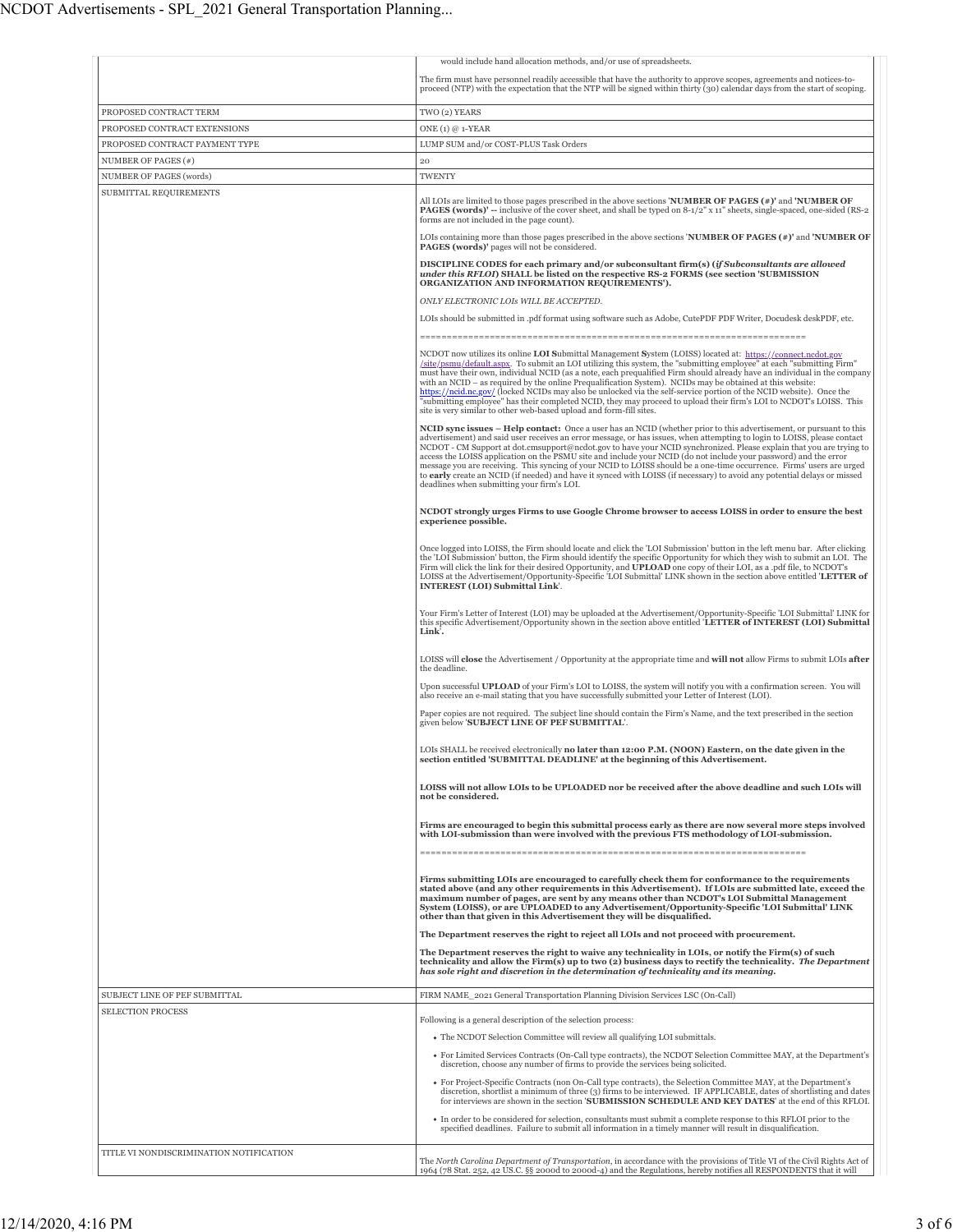|                                         | would include hand allocation methods, and/or use of spreadsheets.                                                                                                                                                                                                                                                                                                                                                                                                                                                                                                                                                                                                                                                                                                                               |
|-----------------------------------------|--------------------------------------------------------------------------------------------------------------------------------------------------------------------------------------------------------------------------------------------------------------------------------------------------------------------------------------------------------------------------------------------------------------------------------------------------------------------------------------------------------------------------------------------------------------------------------------------------------------------------------------------------------------------------------------------------------------------------------------------------------------------------------------------------|
|                                         | The firm must have personnel readily accessible that have the authority to approve scopes, agreements and notices-to-<br>proceed (NTP) with the expectation that the NTP will be signed within thirty (30) calendar days from the start of scoping.                                                                                                                                                                                                                                                                                                                                                                                                                                                                                                                                              |
| PROPOSED CONTRACT TERM                  | TWO (2) YEARS                                                                                                                                                                                                                                                                                                                                                                                                                                                                                                                                                                                                                                                                                                                                                                                    |
| PROPOSED CONTRACT EXTENSIONS            | ONE $(1)$ @ 1-YEAR                                                                                                                                                                                                                                                                                                                                                                                                                                                                                                                                                                                                                                                                                                                                                                               |
| PROPOSED CONTRACT PAYMENT TYPE          | LUMP SUM and/or COST-PLUS Task Orders                                                                                                                                                                                                                                                                                                                                                                                                                                                                                                                                                                                                                                                                                                                                                            |
| NUMBER OF PAGES (#)                     | 20                                                                                                                                                                                                                                                                                                                                                                                                                                                                                                                                                                                                                                                                                                                                                                                               |
| NUMBER OF PAGES (words)                 | <b>TWENTY</b>                                                                                                                                                                                                                                                                                                                                                                                                                                                                                                                                                                                                                                                                                                                                                                                    |
| SUBMITTAL REQUIREMENTS                  | All LOIs are limited to those pages prescribed in the above sections <b>NUMBER OF PAGES</b> (#)' and <b>NUMBER OF</b><br>PAGES (words)' -- inclusive of the cover sheet, and shall be typed on 8-1/2" x 11" sheets, single-spaced, one-sided (RS-2)<br>forms are not included in the page count).                                                                                                                                                                                                                                                                                                                                                                                                                                                                                                |
|                                         | LOIs containing more than those pages prescribed in the above sections <b>NUMBER OF PAGES</b> $(*)$ and <b>NUMBER OF</b>                                                                                                                                                                                                                                                                                                                                                                                                                                                                                                                                                                                                                                                                         |
|                                         | <b>PAGES</b> (words)' pages will not be considered.                                                                                                                                                                                                                                                                                                                                                                                                                                                                                                                                                                                                                                                                                                                                              |
|                                         | DISCIPLINE CODES for each primary and/or subconsultant firm(s) (if Subconsultants are allowed<br>under this RFLOI) SHALL be listed on the respective RS-2 FORMS (see section 'SUBMISSION<br>ORGANIZATION AND INFORMATION REQUIREMENTS').                                                                                                                                                                                                                                                                                                                                                                                                                                                                                                                                                         |
|                                         | ONLY ELECTRONIC LOIS WILL BE ACCEPTED.                                                                                                                                                                                                                                                                                                                                                                                                                                                                                                                                                                                                                                                                                                                                                           |
|                                         | LOIs should be submitted in .pdf format using software such as Adobe, CutePDF PDF Writer, Docudesk deskPDF, etc.                                                                                                                                                                                                                                                                                                                                                                                                                                                                                                                                                                                                                                                                                 |
|                                         |                                                                                                                                                                                                                                                                                                                                                                                                                                                                                                                                                                                                                                                                                                                                                                                                  |
|                                         | NCDOT now utilizes its online LOI Submittal Management System (LOISS) located at: https://connect.ncdot.gov<br>/site/psmu/default.aspx. To submit an LOI utilizing this system, the "submitting employee" at each "submitting Firm"<br>must have their own, individual NCID (as a note, each prequalified Firm should already have an individual in the company<br>with an NCID – as required by the online Prequalification System). NCIDs may be obtained at this website:<br>https://ncid.nc.gov/ (locked NCIDs may also be unlocked via the self-service portion of the NCID website). Once the<br>"submitting employee" has their completed NCID, they may proceed to upload their firm's LOI to NCDOT's LOISS. This<br>site is very similar to other web-based upload and form-fill sites. |
|                                         | NCID sync issues - Help contact: Once a user has an NCID (whether prior to this advertisement, or pursuant to this<br>advertisement) and said user receives an error message, or has issues, when attempting to login to LOISS, please contact<br>NCDOT - CM Support at dot.cmsupport@ncdot.gov to have your NCID synchronized. Please explain that you are trying to<br>access the LOISS application on the PSMU site and include your NCID (do not include your password) and the error<br>message you are receiving. This syncing of your NCID to LOISS should be a one-time occurrence. Firms' users are urged<br>to early create an NCID (if needed) and have it synced with LOISS (if necessary) to avoid any potential delays or missed<br>deadlines when submitting your firm's LOI.     |
|                                         | NCDOT strongly urges Firms to use Google Chrome browser to access LOISS in order to ensure the best<br>experience possible.                                                                                                                                                                                                                                                                                                                                                                                                                                                                                                                                                                                                                                                                      |
|                                         | Once logged into LOISS, the Firm should locate and click the 'LOI Submission' button in the left menu bar. After clicking<br>the 'LOI Submission' button, the Firm should identify the specific Opportunity for which they wish to submit an LOI. The<br>Firm will click the link for their desired Opportunity, and UPLOAD one copy of their LOI, as a .pdf file, to NCDOT's<br>LOISS at the Advertisement/Opportunity-Specific 'LOI Submittal' LINK shown in the section above entitled 'LETTER of<br>INTEREST (LOI) Submittal Link'.                                                                                                                                                                                                                                                          |
|                                         | Your Firm's Letter of Interest (LOI) may be uploaded at the Advertisement/Opportunity-Specific 'LOI Submittal' LINK for<br>this specific Advertisement/Opportunity shown in the section above entitled 'LETTER of INTEREST (LOI) Submittal<br>Link'.                                                                                                                                                                                                                                                                                                                                                                                                                                                                                                                                             |
|                                         | LOISS will <b>close</b> the Advertisement / Opportunity at the appropriate time and <b>will not</b> allow Firms to submit LOIs <b>after</b><br>the deadline.                                                                                                                                                                                                                                                                                                                                                                                                                                                                                                                                                                                                                                     |
|                                         | Upon successful UPLOAD of your Firm's LOI to LOISS, the system will notify you with a confirmation screen. You will<br>also receive an e-mail stating that you have successfully submitted your Letter of Interest (LOI).<br>Paper copies are not required. The subject line should contain the Firm's Name, and the text prescribed in the section                                                                                                                                                                                                                                                                                                                                                                                                                                              |
|                                         | given below 'SUBJECT LINE OF PEF SUBMITTAL'.                                                                                                                                                                                                                                                                                                                                                                                                                                                                                                                                                                                                                                                                                                                                                     |
|                                         | LOIs SHALL be received electronically no later than 12:00 P.M. (NOON) Eastern, on the date given in the<br>section entitled 'SUBMITTAL DEADLINE' at the beginning of this Advertisement.                                                                                                                                                                                                                                                                                                                                                                                                                                                                                                                                                                                                         |
|                                         | LOISS will not allow LOIs to be UPLOADED nor be received after the above deadline and such LOIs will<br>not be considered.                                                                                                                                                                                                                                                                                                                                                                                                                                                                                                                                                                                                                                                                       |
|                                         | Firms are encouraged to begin this submittal process early as there are now several more steps involved<br>with LOI-submission than were involved with the previous FTS methodology of LOI-submission.                                                                                                                                                                                                                                                                                                                                                                                                                                                                                                                                                                                           |
|                                         | Firms submitting LOIs are encouraged to carefully check them for conformance to the requirements<br>stated above (and any other requirements in this Advertisement). If LOIs are submitted late, exceed the<br>maximum number of pages, are sent by any means other than NCDOT's LOI Submittal Management<br>System (LOISS), or are UPLOADED to any Advertisement/Opportunity-Specific 'LOI Submittal' LINK<br>other than that given in this Advertisement they will be disqualified.                                                                                                                                                                                                                                                                                                            |
|                                         | The Department reserves the right to reject all LOIs and not proceed with procurement.                                                                                                                                                                                                                                                                                                                                                                                                                                                                                                                                                                                                                                                                                                           |
|                                         | The Department reserves the right to waive any technicality in LOIs, or notify the Firm(s) of such                                                                                                                                                                                                                                                                                                                                                                                                                                                                                                                                                                                                                                                                                               |
|                                         | technicality and allow the Firm(s) up to two (2) business days to rectify the technicality. The Department<br>has sole right and discretion in the determination of technicality and its meaning.                                                                                                                                                                                                                                                                                                                                                                                                                                                                                                                                                                                                |
| SUBJECT LINE OF PEF SUBMITTAL           | FIRM NAME 2021 General Transportation Planning Division Services LSC (On-Call)                                                                                                                                                                                                                                                                                                                                                                                                                                                                                                                                                                                                                                                                                                                   |
| SELECTION PROCESS                       | Following is a general description of the selection process:                                                                                                                                                                                                                                                                                                                                                                                                                                                                                                                                                                                                                                                                                                                                     |
|                                         | • The NCDOT Selection Committee will review all qualifying LOI submittals.                                                                                                                                                                                                                                                                                                                                                                                                                                                                                                                                                                                                                                                                                                                       |
|                                         |                                                                                                                                                                                                                                                                                                                                                                                                                                                                                                                                                                                                                                                                                                                                                                                                  |
|                                         | • For Limited Services Contracts (On-Call type contracts), the NCDOT Selection Committee MAY, at the Department's<br>discretion, choose any number of firms to provide the services being solicited.                                                                                                                                                                                                                                                                                                                                                                                                                                                                                                                                                                                             |
|                                         | • For Project-Specific Contracts (non On-Call type contracts), the Selection Committee MAY, at the Department's<br>discretion, shortlist a minimum of three (3) firms to be interviewed. IF APPLICABLE, dates of shortlisting and dates<br>for interviews are shown in the section 'SUBMISSION SCHEDULE AND KEY DATES' at the end of this RFLOI.                                                                                                                                                                                                                                                                                                                                                                                                                                                 |
|                                         | In order to be considered for selection, consultants must submit a complete response to this RFLOI prior to the<br>specified deadlines. Failure to submit all information in a timely manner will result in disqualification.                                                                                                                                                                                                                                                                                                                                                                                                                                                                                                                                                                    |
| TITLE VI NONDISCRIMINATION NOTIFICATION | The North Carolina Department of Transportation, in accordance with the provisions of Title VI of the Civil Rights Act of<br>1964 (78 Stat. 252, 42 US.C. §§ 2000d to 2000d-4) and the Regulations, hereby notifies all RESPONDENTS that it will                                                                                                                                                                                                                                                                                                                                                                                                                                                                                                                                                 |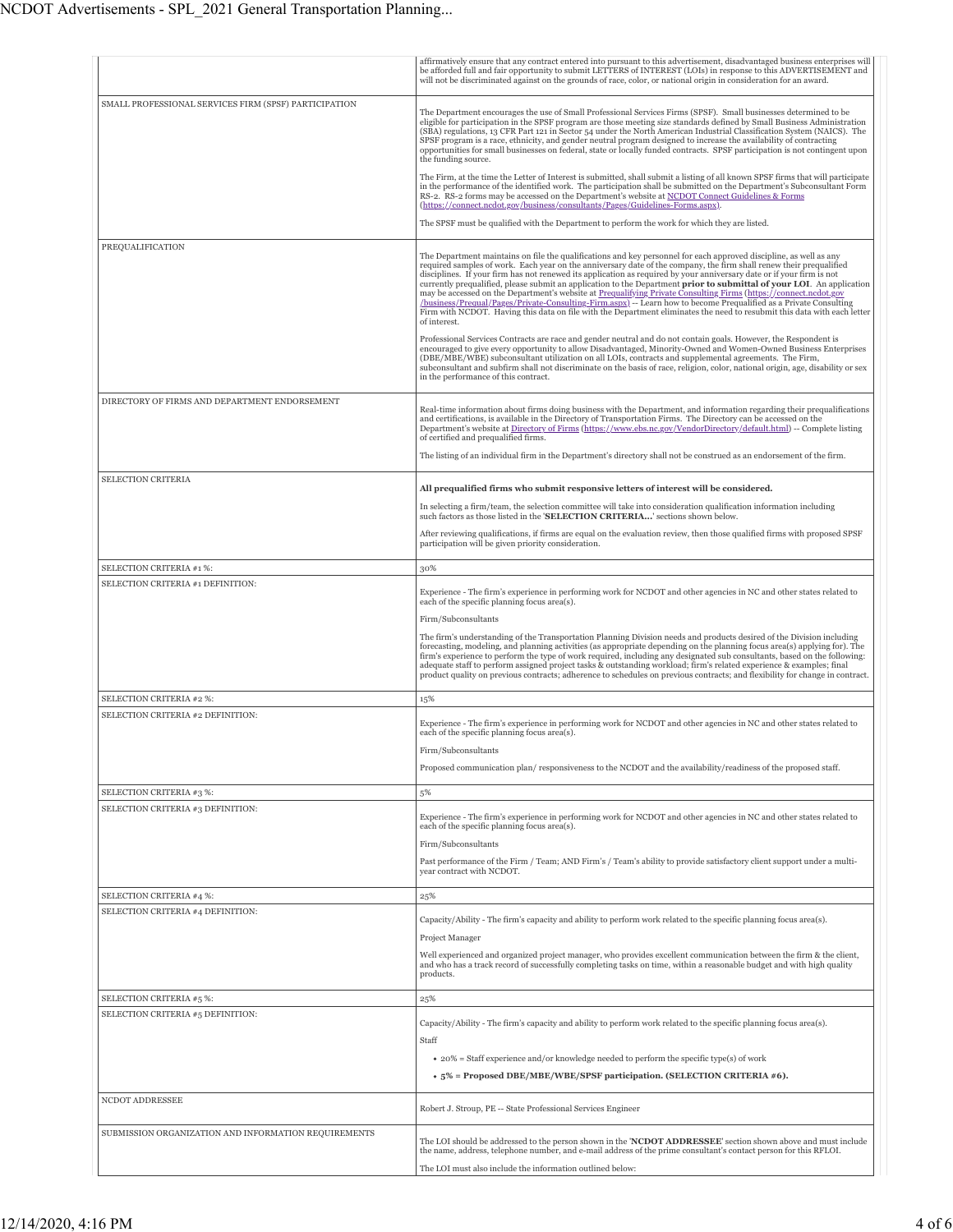|                                                               | affirmatively ensure that any contract entered into pursuant to this advertisement, disadvantaged business enterprises will<br>be afforded full and fair opportunity to submit LETTERS of INTEREST (LOIs) in response to this ADVERTISEMENT and<br>will not be discriminated against on the grounds of race, color, or national origin in consideration for an award.                                                                                                                                                                                                                                                                                                                                                                                                                                                                                                            |
|---------------------------------------------------------------|----------------------------------------------------------------------------------------------------------------------------------------------------------------------------------------------------------------------------------------------------------------------------------------------------------------------------------------------------------------------------------------------------------------------------------------------------------------------------------------------------------------------------------------------------------------------------------------------------------------------------------------------------------------------------------------------------------------------------------------------------------------------------------------------------------------------------------------------------------------------------------|
| SMALL PROFESSIONAL SERVICES FIRM (SPSF) PARTICIPATION         |                                                                                                                                                                                                                                                                                                                                                                                                                                                                                                                                                                                                                                                                                                                                                                                                                                                                                  |
|                                                               | The Department encourages the use of Small Professional Services Firms (SPSF). Small businesses determined to be<br>eligible for participation in the SPSF program are those meeting size standards defined by Small Business Administration<br>(SBA) regulations, 13 CFR Part 121 in Sector 54 under the North American Industrial Classification System (NAICS). The<br>SPSF program is a race, ethnicity, and gender neutral program designed to increase the availability of contracting<br>opportunities for small businesses on federal, state or locally funded contracts. SPSF participation is not contingent upon<br>the funding source.                                                                                                                                                                                                                               |
|                                                               | The Firm, at the time the Letter of Interest is submitted, shall submit a listing of all known SPSF firms that will participate<br>in the performance of the identified work. The participation shall be submitted on the Department's Subconsultant Form<br>RS-2. RS-2 forms may be accessed on the Department's website at NCDOT Connect Guidelines & Forms<br>(https://connect.ncdot.gov/business/consultants/Pages/Guidelines-Forms.aspx).                                                                                                                                                                                                                                                                                                                                                                                                                                   |
|                                                               | The SPSF must be qualified with the Department to perform the work for which they are listed.                                                                                                                                                                                                                                                                                                                                                                                                                                                                                                                                                                                                                                                                                                                                                                                    |
|                                                               |                                                                                                                                                                                                                                                                                                                                                                                                                                                                                                                                                                                                                                                                                                                                                                                                                                                                                  |
| PREQUALIFICATION                                              | The Department maintains on file the qualifications and key personnel for each approved discipline, as well as any<br>required samples of work. Each year on the anniversary date of the company, the firm shall renew their prequalified<br>disciplines. If your firm has not renewed its application as required by your anniversary date or if your firm is not<br>currently prequalified, please submit an application to the Department prior to submittal of your LOI. An application<br>may be accessed on the Department's website at Prequalifying Private Consulting Firms (https://connect.ncdot.gov<br>/business/Prequal/Pages/Private-Consulting-Firm.aspx) -- Learn how to become Prequalified as a Private Consulting<br>Firm with NCDOT. Having this data on file with the Department eliminates the need to resubmit this data with each letter<br>of interest. |
|                                                               | Professional Services Contracts are race and gender neutral and do not contain goals. However, the Respondent is<br>encouraged to give every opportunity to allow Disadvantaged, Minority-Owned and Women-Owned Business Enterprises<br>(DBE/MBE/WBE) subconsultant utilization on all LOIs, contracts and supplemental agreements. The Firm,<br>subconsultant and subfirm shall not discriminate on the basis of race, religion, color, national origin, age, disability or sex<br>in the performance of this contract.                                                                                                                                                                                                                                                                                                                                                         |
| DIRECTORY OF FIRMS AND DEPARTMENT ENDORSEMENT                 | Real-time information about firms doing business with the Department, and information regarding their prequalifications<br>and certifications, is available in the Directory of Transportation Firms. The Directory can be accessed on the<br>Department's website at Directory of Firms (https://www.ebs.nc.gov/VendorDirectory/default.html) -- Complete listing<br>of certified and prequalified firms.<br>The listing of an individual firm in the Department's directory shall not be construed as an endorsement of the firm.                                                                                                                                                                                                                                                                                                                                              |
|                                                               |                                                                                                                                                                                                                                                                                                                                                                                                                                                                                                                                                                                                                                                                                                                                                                                                                                                                                  |
| SELECTION CRITERIA                                            | All prequalified firms who submit responsive letters of interest will be considered.                                                                                                                                                                                                                                                                                                                                                                                                                                                                                                                                                                                                                                                                                                                                                                                             |
|                                                               | In selecting a firm/team, the selection committee will take into consideration qualification information including<br>such factors as those listed in the 'SELECTION CRITERIA' sections shown below.                                                                                                                                                                                                                                                                                                                                                                                                                                                                                                                                                                                                                                                                             |
|                                                               | After reviewing qualifications, if firms are equal on the evaluation review, then those qualified firms with proposed SPSF<br>participation will be given priority consideration.                                                                                                                                                                                                                                                                                                                                                                                                                                                                                                                                                                                                                                                                                                |
| SELECTION CRITERIA #1 %:                                      | 30%                                                                                                                                                                                                                                                                                                                                                                                                                                                                                                                                                                                                                                                                                                                                                                                                                                                                              |
| SELECTION CRITERIA #1 DEFINITION:                             |                                                                                                                                                                                                                                                                                                                                                                                                                                                                                                                                                                                                                                                                                                                                                                                                                                                                                  |
|                                                               | Experience - The firm's experience in performing work for NCDOT and other agencies in NC and other states related to<br>each of the specific planning focus area(s).                                                                                                                                                                                                                                                                                                                                                                                                                                                                                                                                                                                                                                                                                                             |
|                                                               | Firm/Subconsultants                                                                                                                                                                                                                                                                                                                                                                                                                                                                                                                                                                                                                                                                                                                                                                                                                                                              |
|                                                               | The firm's understanding of the Transportation Planning Division needs and products desired of the Division including<br>forecasting, modeling, and planning activities (as appropriate depending on the planning focus area(s) applying for). The<br>firm's experience to perform the type of work required, including any designated sub consultants, based on the following:<br>adequate staff to perform assigned project tasks & outstanding workload; firm's related experience & examples; final<br>product quality on previous contracts; adherence to schedules on previous contracts; and flexibility for change in contract.                                                                                                                                                                                                                                          |
| SELECTION CRITERIA #2 %:                                      | 15%                                                                                                                                                                                                                                                                                                                                                                                                                                                                                                                                                                                                                                                                                                                                                                                                                                                                              |
| SELECTION CRITERIA #2 DEFINITION:                             | Experience - The firm's experience in performing work for NCDOT and other agencies in NC and other states related to<br>each of the specific planning focus area(s).                                                                                                                                                                                                                                                                                                                                                                                                                                                                                                                                                                                                                                                                                                             |
|                                                               | Firm/Subconsultants                                                                                                                                                                                                                                                                                                                                                                                                                                                                                                                                                                                                                                                                                                                                                                                                                                                              |
|                                                               | Proposed communication plan/responsiveness to the NCDOT and the availability/readiness of the proposed staff.                                                                                                                                                                                                                                                                                                                                                                                                                                                                                                                                                                                                                                                                                                                                                                    |
| SELECTION CRITERIA #3 %:                                      | 5%                                                                                                                                                                                                                                                                                                                                                                                                                                                                                                                                                                                                                                                                                                                                                                                                                                                                               |
| SELECTION CRITERIA #3 DEFINITION:                             | Experience - The firm's experience in performing work for NCDOT and other agencies in NC and other states related to                                                                                                                                                                                                                                                                                                                                                                                                                                                                                                                                                                                                                                                                                                                                                             |
|                                                               | each of the specific planning focus area(s).                                                                                                                                                                                                                                                                                                                                                                                                                                                                                                                                                                                                                                                                                                                                                                                                                                     |
|                                                               | Firm/Subconsultants                                                                                                                                                                                                                                                                                                                                                                                                                                                                                                                                                                                                                                                                                                                                                                                                                                                              |
|                                                               | Past performance of the Firm / Team; AND Firm's / Team's ability to provide satisfactory client support under a multi-<br>year contract with NCDOT.                                                                                                                                                                                                                                                                                                                                                                                                                                                                                                                                                                                                                                                                                                                              |
|                                                               |                                                                                                                                                                                                                                                                                                                                                                                                                                                                                                                                                                                                                                                                                                                                                                                                                                                                                  |
| SELECTION CRITERIA #4 %:<br>SELECTION CRITERIA #4 DEFINITION: | 25%                                                                                                                                                                                                                                                                                                                                                                                                                                                                                                                                                                                                                                                                                                                                                                                                                                                                              |
|                                                               | Capacity/Ability - The firm's capacity and ability to perform work related to the specific planning focus area(s).<br>Project Manager                                                                                                                                                                                                                                                                                                                                                                                                                                                                                                                                                                                                                                                                                                                                            |
|                                                               | Well experienced and organized project manager, who provides excellent communication between the firm & the client,                                                                                                                                                                                                                                                                                                                                                                                                                                                                                                                                                                                                                                                                                                                                                              |
|                                                               | and who has a track record of successfully completing tasks on time, within a reasonable budget and with high quality<br>products.                                                                                                                                                                                                                                                                                                                                                                                                                                                                                                                                                                                                                                                                                                                                               |
| SELECTION CRITERIA #5 %:                                      | 25%                                                                                                                                                                                                                                                                                                                                                                                                                                                                                                                                                                                                                                                                                                                                                                                                                                                                              |
| SELECTION CRITERIA #5 DEFINITION:                             | Capacity/Ability - The firm's capacity and ability to perform work related to the specific planning focus area(s).                                                                                                                                                                                                                                                                                                                                                                                                                                                                                                                                                                                                                                                                                                                                                               |
|                                                               | Staff                                                                                                                                                                                                                                                                                                                                                                                                                                                                                                                                                                                                                                                                                                                                                                                                                                                                            |
|                                                               | • 20% = Staff experience and/or knowledge needed to perform the specific type(s) of work                                                                                                                                                                                                                                                                                                                                                                                                                                                                                                                                                                                                                                                                                                                                                                                         |
|                                                               | $\bullet$ 5% = Proposed DBE/MBE/WBE/SPSF participation. (SELECTION CRITERIA #6).                                                                                                                                                                                                                                                                                                                                                                                                                                                                                                                                                                                                                                                                                                                                                                                                 |
| NCDOT ADDRESSEE                                               | Robert J. Stroup, PE -- State Professional Services Engineer                                                                                                                                                                                                                                                                                                                                                                                                                                                                                                                                                                                                                                                                                                                                                                                                                     |
| SUBMISSION ORGANIZATION AND INFORMATION REQUIREMENTS          | The LOI should be addressed to the person shown in the 'NCDOT ADDRESSEE' section shown above and must include                                                                                                                                                                                                                                                                                                                                                                                                                                                                                                                                                                                                                                                                                                                                                                    |
|                                                               | the name, address, telephone number, and e-mail address of the prime consultant's contact person for this RFLOI.                                                                                                                                                                                                                                                                                                                                                                                                                                                                                                                                                                                                                                                                                                                                                                 |
|                                                               | The LOI must also include the information outlined below:                                                                                                                                                                                                                                                                                                                                                                                                                                                                                                                                                                                                                                                                                                                                                                                                                        |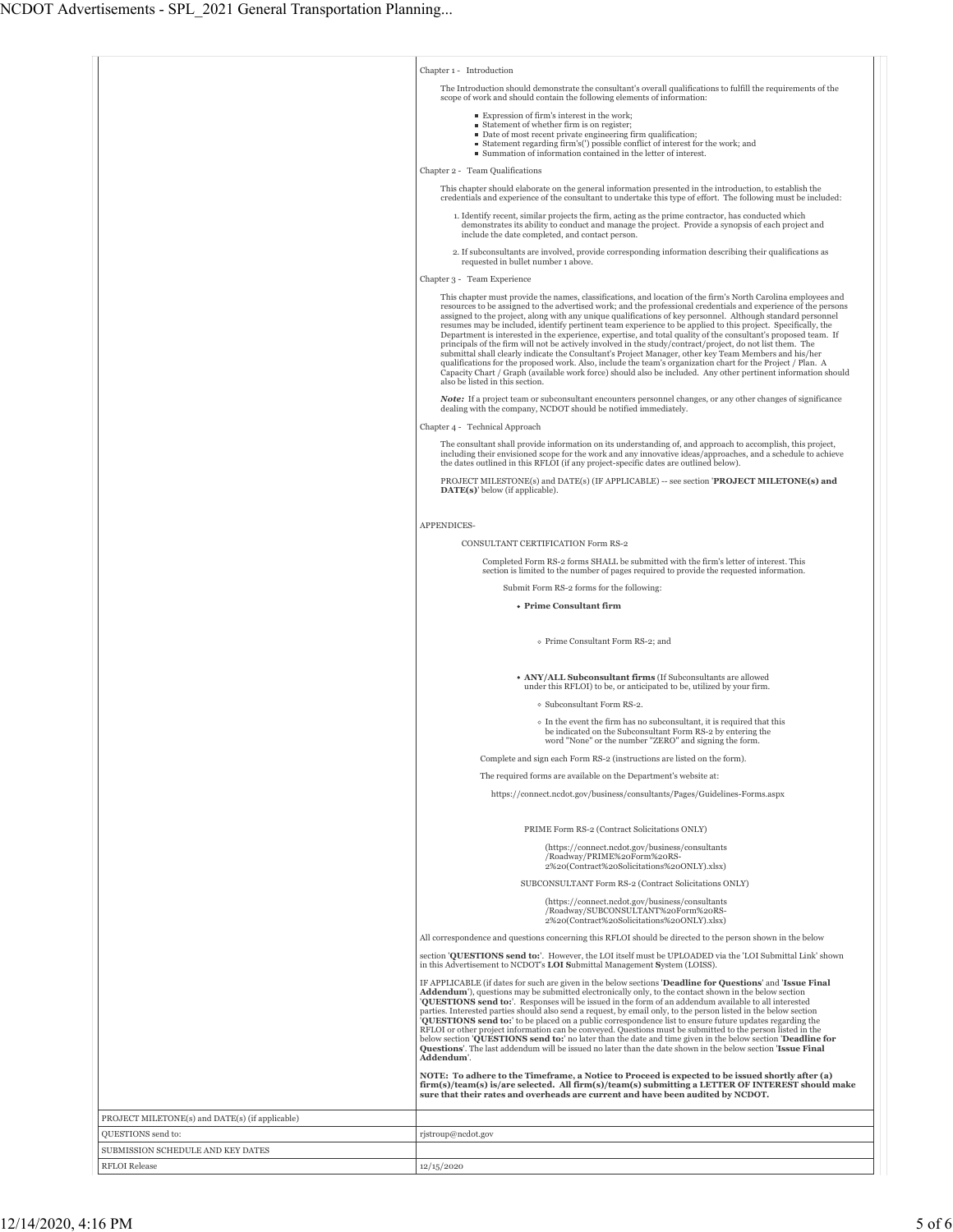|                                                 | Chapter 1 - Introduction                                                                                                                                                                                                                                                                                                                                                                                                                                                                                                                                                                                                                                                                                                                                                                                                                                                                                                                                                                                                                                                   |
|-------------------------------------------------|----------------------------------------------------------------------------------------------------------------------------------------------------------------------------------------------------------------------------------------------------------------------------------------------------------------------------------------------------------------------------------------------------------------------------------------------------------------------------------------------------------------------------------------------------------------------------------------------------------------------------------------------------------------------------------------------------------------------------------------------------------------------------------------------------------------------------------------------------------------------------------------------------------------------------------------------------------------------------------------------------------------------------------------------------------------------------|
|                                                 | The Introduction should demonstrate the consultant's overall qualifications to fulfill the requirements of the<br>scope of work and should contain the following elements of information:                                                                                                                                                                                                                                                                                                                                                                                                                                                                                                                                                                                                                                                                                                                                                                                                                                                                                  |
|                                                 | Expression of firm's interest in the work;                                                                                                                                                                                                                                                                                                                                                                                                                                                                                                                                                                                                                                                                                                                                                                                                                                                                                                                                                                                                                                 |
|                                                 | ■ Statement of whether firm is on register;<br>Date of most recent private engineering firm qualification;                                                                                                                                                                                                                                                                                                                                                                                                                                                                                                                                                                                                                                                                                                                                                                                                                                                                                                                                                                 |
|                                                 | ■ Statement regarding firm's(') possible conflict of interest for the work; and<br>Summation of information contained in the letter of interest.                                                                                                                                                                                                                                                                                                                                                                                                                                                                                                                                                                                                                                                                                                                                                                                                                                                                                                                           |
|                                                 | Chapter 2 - Team Qualifications                                                                                                                                                                                                                                                                                                                                                                                                                                                                                                                                                                                                                                                                                                                                                                                                                                                                                                                                                                                                                                            |
|                                                 | This chapter should elaborate on the general information presented in the introduction, to establish the                                                                                                                                                                                                                                                                                                                                                                                                                                                                                                                                                                                                                                                                                                                                                                                                                                                                                                                                                                   |
|                                                 | credentials and experience of the consultant to undertake this type of effort. The following must be included:                                                                                                                                                                                                                                                                                                                                                                                                                                                                                                                                                                                                                                                                                                                                                                                                                                                                                                                                                             |
|                                                 | 1. Identify recent, similar projects the firm, acting as the prime contractor, has conducted which<br>demonstrates its ability to conduct and manage the project. Provide a synopsis of each project and<br>include the date completed, and contact person.                                                                                                                                                                                                                                                                                                                                                                                                                                                                                                                                                                                                                                                                                                                                                                                                                |
|                                                 | 2. If subconsultants are involved, provide corresponding information describing their qualifications as<br>requested in bullet number 1 above.                                                                                                                                                                                                                                                                                                                                                                                                                                                                                                                                                                                                                                                                                                                                                                                                                                                                                                                             |
|                                                 | Chapter 3 - Team Experience                                                                                                                                                                                                                                                                                                                                                                                                                                                                                                                                                                                                                                                                                                                                                                                                                                                                                                                                                                                                                                                |
|                                                 | This chapter must provide the names, classifications, and location of the firm's North Carolina employees and<br>resources to be assigned to the advertised work; and the professional credentials and experience of the persons<br>assigned to the project, along with any unique qualifications of key personnel. Although standard personnel<br>resumes may be included, identify pertinent team experience to be applied to this project. Specifically, the<br>Department is interested in the experience, expertise, and total quality of the consultant's proposed team. If<br>principals of the firm will not be actively involved in the study/contract/project, do not list them. The<br>submittal shall clearly indicate the Consultant's Project Manager, other key Team Members and his/her<br>qualifications for the proposed work. Also, include the team's organization chart for the Project / Plan. A<br>Capacity Chart / Graph (available work force) should also be included. Any other pertinent information should<br>also be listed in this section. |
|                                                 | <b>Note:</b> If a project team or subconsultant encounters personnel changes, or any other changes of significance<br>dealing with the company, NCDOT should be notified immediately.                                                                                                                                                                                                                                                                                                                                                                                                                                                                                                                                                                                                                                                                                                                                                                                                                                                                                      |
|                                                 | Chapter 4 - Technical Approach                                                                                                                                                                                                                                                                                                                                                                                                                                                                                                                                                                                                                                                                                                                                                                                                                                                                                                                                                                                                                                             |
|                                                 | The consultant shall provide information on its understanding of, and approach to accomplish, this project,<br>including their envisioned scope for the work and any innovative ideas/approaches, and a schedule to achieve<br>the dates outlined in this RFLOI (if any project-specific dates are outlined below).                                                                                                                                                                                                                                                                                                                                                                                                                                                                                                                                                                                                                                                                                                                                                        |
|                                                 | PROJECT MILESTONE(s) and DATE(s) (IF APPLICABLE) -- see section 'PROJECT MILETONE(s) and                                                                                                                                                                                                                                                                                                                                                                                                                                                                                                                                                                                                                                                                                                                                                                                                                                                                                                                                                                                   |
|                                                 | DATE(s)' below (if applicable).                                                                                                                                                                                                                                                                                                                                                                                                                                                                                                                                                                                                                                                                                                                                                                                                                                                                                                                                                                                                                                            |
|                                                 | APPENDICES-                                                                                                                                                                                                                                                                                                                                                                                                                                                                                                                                                                                                                                                                                                                                                                                                                                                                                                                                                                                                                                                                |
|                                                 | CONSULTANT CERTIFICATION Form RS-2                                                                                                                                                                                                                                                                                                                                                                                                                                                                                                                                                                                                                                                                                                                                                                                                                                                                                                                                                                                                                                         |
|                                                 | Completed Form RS-2 forms SHALL be submitted with the firm's letter of interest. This                                                                                                                                                                                                                                                                                                                                                                                                                                                                                                                                                                                                                                                                                                                                                                                                                                                                                                                                                                                      |
|                                                 | section is limited to the number of pages required to provide the requested information.                                                                                                                                                                                                                                                                                                                                                                                                                                                                                                                                                                                                                                                                                                                                                                                                                                                                                                                                                                                   |
|                                                 | Submit Form RS-2 forms for the following:                                                                                                                                                                                                                                                                                                                                                                                                                                                                                                                                                                                                                                                                                                                                                                                                                                                                                                                                                                                                                                  |
|                                                 | • Prime Consultant firm                                                                                                                                                                                                                                                                                                                                                                                                                                                                                                                                                                                                                                                                                                                                                                                                                                                                                                                                                                                                                                                    |
|                                                 | o Prime Consultant Form RS-2; and                                                                                                                                                                                                                                                                                                                                                                                                                                                                                                                                                                                                                                                                                                                                                                                                                                                                                                                                                                                                                                          |
|                                                 | • ANY/ALL Subconsultant firms (If Subconsultants are allowed                                                                                                                                                                                                                                                                                                                                                                                                                                                                                                                                                                                                                                                                                                                                                                                                                                                                                                                                                                                                               |
|                                                 | under this RFLOI) to be, or anticipated to be, utilized by your firm.                                                                                                                                                                                                                                                                                                                                                                                                                                                                                                                                                                                                                                                                                                                                                                                                                                                                                                                                                                                                      |
|                                                 | o Subconsultant Form RS-2.                                                                                                                                                                                                                                                                                                                                                                                                                                                                                                                                                                                                                                                                                                                                                                                                                                                                                                                                                                                                                                                 |
|                                                 | • In the event the firm has no subconsultant, it is required that this<br>be indicated on the Subconsultant Form RS-2 by entering the<br>word "None" or the number "ZERO" and signing the form.                                                                                                                                                                                                                                                                                                                                                                                                                                                                                                                                                                                                                                                                                                                                                                                                                                                                            |
|                                                 | Complete and sign each Form RS-2 (instructions are listed on the form).                                                                                                                                                                                                                                                                                                                                                                                                                                                                                                                                                                                                                                                                                                                                                                                                                                                                                                                                                                                                    |
|                                                 | The required forms are available on the Department's website at:                                                                                                                                                                                                                                                                                                                                                                                                                                                                                                                                                                                                                                                                                                                                                                                                                                                                                                                                                                                                           |
|                                                 | https://connect.ncdot.gov/business/consultants/Pages/Guidelines-Forms.aspx                                                                                                                                                                                                                                                                                                                                                                                                                                                                                                                                                                                                                                                                                                                                                                                                                                                                                                                                                                                                 |
|                                                 | PRIME Form RS-2 (Contract Solicitations ONLY)                                                                                                                                                                                                                                                                                                                                                                                                                                                                                                                                                                                                                                                                                                                                                                                                                                                                                                                                                                                                                              |
|                                                 | (https://connect.ncdot.gov/business/consultants                                                                                                                                                                                                                                                                                                                                                                                                                                                                                                                                                                                                                                                                                                                                                                                                                                                                                                                                                                                                                            |
|                                                 | /Roadway/PRIME%20Form%20RS-<br>2%20(Contract%20Solicitations%20ONLY).xlsx)                                                                                                                                                                                                                                                                                                                                                                                                                                                                                                                                                                                                                                                                                                                                                                                                                                                                                                                                                                                                 |
|                                                 | SUBCONSULTANT Form RS-2 (Contract Solicitations ONLY)                                                                                                                                                                                                                                                                                                                                                                                                                                                                                                                                                                                                                                                                                                                                                                                                                                                                                                                                                                                                                      |
|                                                 | (https://connect.ncdot.gov/business/consultants<br>/Roadway/SUBCONSULTANT%20Form%20RS-<br>2%20(Contract%20Solicitations%20ONLY).xlsx)                                                                                                                                                                                                                                                                                                                                                                                                                                                                                                                                                                                                                                                                                                                                                                                                                                                                                                                                      |
|                                                 | All correspondence and questions concerning this RFLOI should be directed to the person shown in the below                                                                                                                                                                                                                                                                                                                                                                                                                                                                                                                                                                                                                                                                                                                                                                                                                                                                                                                                                                 |
|                                                 | section 'OUESTIONS send to:'. However, the LOI itself must be UPLOADED via the 'LOI Submittal Link' shown                                                                                                                                                                                                                                                                                                                                                                                                                                                                                                                                                                                                                                                                                                                                                                                                                                                                                                                                                                  |
|                                                 | in this Advertisement to NCDOT's LOI Submittal Management System (LOISS).                                                                                                                                                                                                                                                                                                                                                                                                                                                                                                                                                                                                                                                                                                                                                                                                                                                                                                                                                                                                  |
|                                                 | IF APPLICABLE (if dates for such are given in the below sections 'Deadline for Questions' and 'Issue Final<br>Addendum'), questions may be submitted electronically only, to the contact shown in the below section<br><b>QUESTIONS send to:</b> '. Responses will be issued in the form of an addendum available to all interested<br>parties. Interested parties should also send a request, by email only, to the person listed in the below section<br><b>OUESTIONS send to:</b> to be placed on a public correspondence list to ensure future updates regarding the<br>RFLOI or other project information can be conveyed. Questions must be submitted to the person listed in the<br>below section <b>QUESTIONS</b> send to: no later than the date and time given in the below section <b>Deadline for</b><br><b>Questions'.</b> The last addendum will be issued no later than the date shown in the below section 'Issue Final<br>Addendum'.                                                                                                                      |
|                                                 | NOTE: To adhere to the Timeframe, a Notice to Proceed is expected to be issued shortly after (a)<br>firm(s)/team(s) is/are selected. All firm(s)/team(s) submitting a LETTER OF INTEREST should make<br>sure that their rates and overheads are current and have been audited by NCDOT.                                                                                                                                                                                                                                                                                                                                                                                                                                                                                                                                                                                                                                                                                                                                                                                    |
| PROJECT MILETONE(s) and DATE(s) (if applicable) |                                                                                                                                                                                                                                                                                                                                                                                                                                                                                                                                                                                                                                                                                                                                                                                                                                                                                                                                                                                                                                                                            |
| QUESTIONS send to:                              | rjstroup@ncdot.gov                                                                                                                                                                                                                                                                                                                                                                                                                                                                                                                                                                                                                                                                                                                                                                                                                                                                                                                                                                                                                                                         |
| SUBMISSION SCHEDULE AND KEY DATES               |                                                                                                                                                                                                                                                                                                                                                                                                                                                                                                                                                                                                                                                                                                                                                                                                                                                                                                                                                                                                                                                                            |
| <b>RFLOI</b> Release                            | 12/15/2020                                                                                                                                                                                                                                                                                                                                                                                                                                                                                                                                                                                                                                                                                                                                                                                                                                                                                                                                                                                                                                                                 |